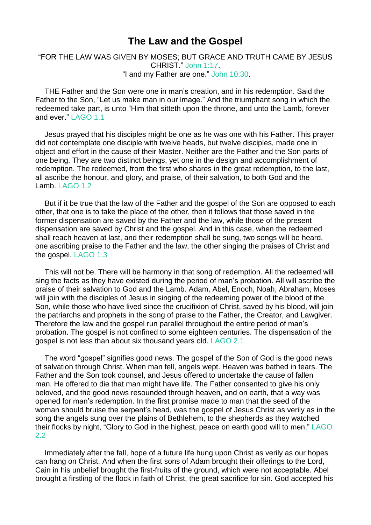## **The Law and the Gospel**

## "FOR THE LAW WAS GIVEN BY MOSES; BUT GRACE AND TRUTH CAME BY JESUS CHRIST." [John](https://m.egwwritings.org/en/book/1965.53166#53166) 1:17. "I and my Father are one." John [10:30.](https://m.egwwritings.org/en/book/1965.54075#54075)

THE Father and the Son were one in man's creation, and in his redemption. Said the Father to the Son, "Let us make man in our image." And the triumphant song in which the redeemed take part, is unto "Him that sitteth upon the throne, and unto the Lamb, forever and ever." LAGO 1.1

Jesus prayed that his disciples might be one as he was one with his Father. This prayer did not contemplate one disciple with twelve heads, but twelve disciples, made one in object and effort in the cause of their Master. Neither are the Father and the Son parts of one being. They are two distinct beings, yet one in the design and accomplishment of redemption. The redeemed, from the first who shares in the great redemption, to the last, all ascribe the honour, and glory, and praise, of their salvation, to both God and the Lamb. LAGO 1.2

But if it be true that the law of the Father and the gospel of the Son are opposed to each other, that one is to take the place of the other, then it follows that those saved in the former dispensation are saved by the Father and the law, while those of the present dispensation are saved by Christ and the gospel. And in this case, when the redeemed shall reach heaven at last, and their redemption shall be sung, two songs will be heard, one ascribing praise to the Father and the law, the other singing the praises of Christ and the gospel. LAGO 1.3

This will not be. There will be harmony in that song of redemption. All the redeemed will sing the facts as they have existed during the period of man's probation. All will ascribe the praise of their salvation to God and the Lamb. Adam, Abel, Enoch, Noah, Abraham, Moses will join with the disciples of Jesus in singing of the redeeming power of the blood of the Son, while those who have lived since the crucifixion of Christ, saved by his blood, will join the patriarchs and prophets in the song of praise to the Father, the Creator, and Lawgiver. Therefore the law and the gospel run parallel throughout the entire period of man's probation. The gospel is not confined to some eighteen centuries. The dispensation of the gospel is not less than about six thousand years old. LAGO 2.1

The word "gospel" signifies good news. The gospel of the Son of God is the good news of salvation through Christ. When man fell, angels wept. Heaven was bathed in tears. The Father and the Son took counsel, and Jesus offered to undertake the cause of fallen man. He offered to die that man might have life. The Father consented to give his only beloved, and the good news resounded through heaven, and on earth, that a way was opened for man's redemption. In the first promise made to man that the seed of the woman should bruise the serpent's head, was the gospel of Jesus Christ as verily as in the song the angels sung over the plains of Bethlehem, to the shepherds as they watched their flocks by night, "Glory to God in the highest, peace on earth good will to men." LAGO 2.2

Immediately after the fall, hope of a future life hung upon Christ as verily as our hopes can hang on Christ. And when the first sons of Adam brought their offerings to the Lord, Cain in his unbelief brought the first-fruits of the ground, which were not acceptable. Abel brought a firstling of the flock in faith of Christ, the great sacrifice for sin. God accepted his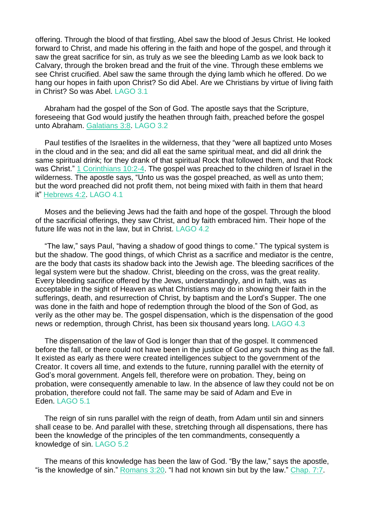offering. Through the blood of that firstling, Abel saw the blood of Jesus Christ. He looked forward to Christ, and made his offering in the faith and hope of the gospel, and through it saw the great sacrifice for sin, as truly as we see the bleeding Lamb as we look back to Calvary, through the broken bread and the fruit of the vine. Through these emblems we see Christ crucified. Abel saw the same through the dying lamb which he offered. Do we hang our hopes in faith upon Christ? So did Abel. Are we Christians by virtue of living faith in Christ? So was Abel. LAGO 3.1

Abraham had the gospel of the Son of God. The apostle says that the Scripture, foreseeing that God would justify the heathen through faith, preached before the gospel unto Abraham. [Galatians](https://m.egwwritings.org/en/book/1965.59365#59365) 3:8. LAGO 3.2

Paul testifies of the Israelites in the wilderness, that they "were all baptized unto Moses in the cloud and in the sea; and did all eat the same spiritual meat, and did all drink the same spiritual drink; for they drank of that spiritual Rock that followed them, and that Rock was Christ." 1 [Corinthians](https://m.egwwritings.org/en/book/1965.58259#58259) 10:2-4. The gospel was preached to the children of Israel in the wilderness. The apostle says, "Unto us was the gospel preached, as well as unto them; but the word preached did not profit them, not being mixed with faith in them that heard it" [Hebrews](https://m.egwwritings.org/en/book/1965.61230#61230) 4:2. LAGO 4.1

Moses and the believing Jews had the faith and hope of the gospel. Through the blood of the sacrificial offerings, they saw Christ, and by faith embraced him. Their hope of the future life was not in the law, but in Christ. LAGO 4.2

"The law," says Paul, "having a shadow of good things to come." The typical system is but the shadow. The good things, of which Christ as a sacrifice and mediator is the centre, are the body that casts its shadow back into the Jewish age. The bleeding sacrifices of the legal system were but the shadow. Christ, bleeding on the cross, was the great reality. Every bleeding sacrifice offered by the Jews, understandingly, and in faith, was as acceptable in the sight of Heaven as what Christians may do in showing their faith in the sufferings, death, and resurrection of Christ, by baptism and the Lord's Supper. The one was done in the faith and hope of redemption through the blood of the Son of God, as verily as the other may be. The gospel dispensation, which is the dispensation of the good news or redemption, through Christ, has been six thousand years long. LAGO 4.3

The dispensation of the law of God is longer than that of the gospel. It commenced before the fall, or there could not have been in the justice of God any such thing as the fall. It existed as early as there were created intelligences subject to the government of the Creator. It covers all time, and extends to the future, running parallel with the eternity of God's moral government. Angels fell, therefore were on probation. They, being on probation, were consequently amenable to law. In the absence of law they could not be on probation, therefore could not fall. The same may be said of Adam and Eve in Eden. LAGO 5.1

The reign of sin runs parallel with the reign of death, from Adam until sin and sinners shall cease to be. And parallel with these, stretching through all dispensations, there has been the knowledge of the principles of the ten commandments, consequently a knowledge of sin. LAGO 5.2

The means of this knowledge has been the law of God. "By the law," says the apostle, "is the knowledge of sin." [Romans](https://m.egwwritings.org/en/book/1965.57119#57119) 3:20. "I had not known sin but by the law." [Chap.](https://m.egwwritings.org/en/book/1965.57297#57297) 7:7.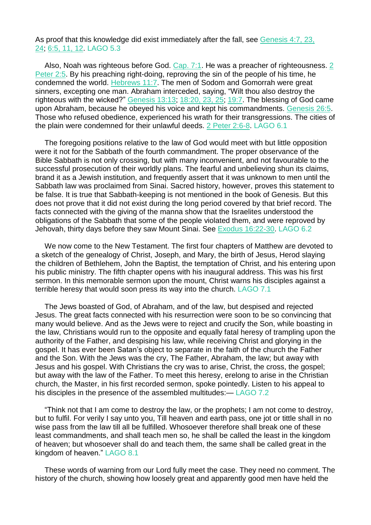As proof that this knowledge did exist immediately after the fall, see [Genesis](https://m.egwwritings.org/en/book/1965.180#180) 4:7, 23, [24;](https://m.egwwritings.org/en/book/1965.180#180) [6:5,](https://m.egwwritings.org/en/book/1965.294#294) 11, 12. LAGO 5.3

Also, Noah was righteous before God. [Cap.](https://m.egwwritings.org/en/book/1965.53708#53708) 7:1. He was a preacher of righteousness. [2](https://m.egwwritings.org/en/book/1965.62232#62232) [Peter](https://m.egwwritings.org/en/book/1965.62232#62232) 2:5. By his preaching right-doing, reproving the sin of the people of his time, he condemned the world. [Hebrews](https://m.egwwritings.org/en/book/1965.61563#61563) 11:7. The men of Sodom and Gomorrah were great sinners, excepting one man. Abraham interceded, saying, "Wilt thou also destroy the righteous with the wicked?" [Genesis](https://m.egwwritings.org/en/book/1965.679#679) 13:13; [18:20,](https://m.egwwritings.org/en/book/1965.910#910) 23, 25; [19:7.](https://m.egwwritings.org/en/book/1965.951#951) The blessing of God came upon Abraham, because he obeyed his voice and kept his commandments. [Genesis](https://m.egwwritings.org/en/book/1965.1424#1424) 26:5. Those who refused obedience, experienced his wrath for their transgressions. The cities of the plain were condemned for their unlawful deeds. 2 Peter [2:6-8.](https://m.egwwritings.org/en/book/1965.62234#62234) LAGO 6.1

The foregoing positions relative to the law of God would meet with but little opposition were it not for the Sabbath of the fourth commandment. The proper observance of the Bible Sabbath is not only crossing, but with many inconvenient, and not favourable to the successful prosecution of their worldly plans. The fearful and unbelieving shun its claims, brand it as a Jewish institution, and frequently assert that it was unknown to men until the Sabbath law was proclaimed from Sinai. Sacred history, however, proves this statement to be false. It is true that Sabbath-keeping is not mentioned in the book of Genesis. But this does not prove that it did not exist during the long period covered by that brief record. The facts connected with the giving of the manna show that the Israelites understood the obligations of the Sabbath that some of the people violated them, and were reproved by Jehovah, thirty days before they saw Mount Sinai. See Exodus [16:22-30.](https://m.egwwritings.org/en/book/1965.4009#4009) LAGO 6.2

We now come to the New Testament. The first four chapters of Matthew are devoted to a sketch of the genealogy of Christ, Joseph, and Mary, the birth of Jesus, Herod slaying the children of Bethlehem, John the Baptist, the temptation of Christ, and his entering upon his public ministry. The fifth chapter opens with his inaugural address. This was his first sermon. In this memorable sermon upon the mount, Christ warns his disciples against a terrible heresy that would soon press its way into the church. LAGO 7.1

The Jews boasted of God, of Abraham, and of the law, but despised and rejected Jesus. The great facts connected with his resurrection were soon to be so convincing that many would believe. And as the Jews were to reject and crucify the Son, while boasting in the law, Christians would run to the opposite and equally fatal heresy of trampling upon the authority of the Father, and despising his law, while receiving Christ and glorying in the gospel. It has ever been Satan's object to separate in the faith of the church the Father and the Son. With the Jews was the cry, The Father, Abraham, the law; but away with Jesus and his gospel. With Christians the cry was to arise, Christ, the cross, the gospel; but away with the law of the Father. To meet this heresy, erelong to arise in the Christian church, the Master, in his first recorded sermon, spoke pointedly. Listen to his appeal to his disciples in the presence of the assembled multitudes:— LAGO 7.2

"Think not that I am come to destroy the law, or the prophets; I am not come to destroy, but to fulfil. For verily I say unto you, Till heaven and earth pass, one jot or tittle shall in no wise pass from the law till all be fulfilled. Whosoever therefore shall break one of these least commandments, and shall teach men so, he shall be called the least in the kingdom of heaven; but whosoever shall do and teach them, the same shall be called great in the kingdom of heaven." LAGO 8.1

These words of warning from our Lord fully meet the case. They need no comment. The history of the church, showing how loosely great and apparently good men have held the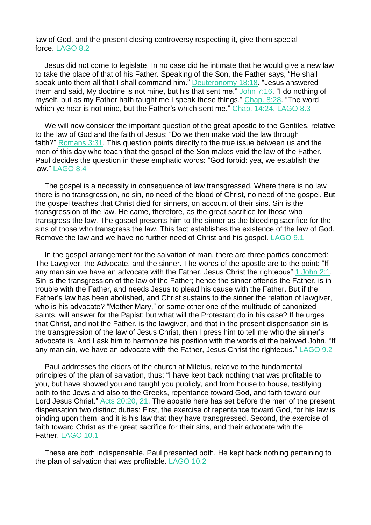law of God, and the present closing controversy respecting it, give them special force. LAGO 8.2

Jesus did not come to legislate. In no case did he intimate that he would give a new law to take the place of that of his Father. Speaking of the Son, the Father says, "He shall speak unto them all that I shall command him." [Deuteronomy](https://m.egwwritings.org/en/book/1965.10983#10983) 18:18. "Jesus answered them and said, My doctrine is not mine, but his that sent me." [John](https://m.egwwritings.org/en/book/1965.53738#53738) 7:16. "I do nothing of myself, but as my Father hath taught me I speak these things." [Chap.](https://m.egwwritings.org/en/book/1965.53869#53869) 8:28. "The word which ye hear is not mine, but the Father's which sent me." [Chap.](https://m.egwwritings.org/en/book/1965.10803#10803) 14:24. LAGO 8.3

We will now consider the important question of the great apostle to the Gentiles, relative to the law of God and the faith of Jesus: "Do we then make void the law through faith?" [Romans](https://m.egwwritings.org/en/book/1965.57141#57141) 3:31. This question points directly to the true issue between us and the men of this day who teach that the gospel of the Son makes void the law of the Father. Paul decides the question in these emphatic words: "God forbid: yea, we establish the law." LAGO 8.4

The gospel is a necessity in consequence of law transgressed. Where there is no law there is no transgression, no sin, no need of the blood of Christ, no need of the gospel. But the gospel teaches that Christ died for sinners, on account of their sins. Sin is the transgression of the law. He came, therefore, as the great sacrifice for those who transgress the law. The gospel presents him to the sinner as the bleeding sacrifice for the sins of those who transgress the law. This fact establishes the existence of the law of God. Remove the law and we have no further need of Christ and his gospel. LAGO 9.1

In the gospel arrangement for the salvation of man, there are three parties concerned: The Lawgiver, the Advocate, and the sinner. The words of the apostle are to the point: "If any man sin we have an advocate with the Father, Jesus Christ the righteous" 1 [John](https://m.egwwritings.org/en/book/1965.62328#62328) 2:1. Sin is the transgression of the law of the Father; hence the sinner offends the Father, is in trouble with the Father, and needs Jesus to plead his cause with the Father. But if the Father's law has been abolished, and Christ sustains to the sinner the relation of lawgiver, who is his advocate? "Mother Mary," or some other one of the multitude of canonized saints, will answer for the Papist; but what will the Protestant do in his case? If he urges that Christ, and not the Father, is the lawgiver, and that in the present dispensation sin is the transgression of the law of Jesus Christ, then I press him to tell me who the sinner's advocate is. And I ask him to harmonize his position with the words of the beloved John, "If any man sin, we have an advocate with the Father, Jesus Christ the righteous." LAGO 9.2

Paul addresses the elders of the church at Miletus, relative to the fundamental principles of the plan of salvation, thus: "I have kept back nothing that was profitable to you, but have showed you and taught you publicly, and from house to house, testifying both to the Jews and also to the Greeks, repentance toward God, and faith toward our Lord Jesus Christ." Acts [20:20,](https://m.egwwritings.org/en/book/1965.56377#56377) 21. The apostle here has set before the men of the present dispensation two distinct duties: First, the exercise of repentance toward God, for his law is binding upon them, and it is his law that they have transgressed. Second, the exercise of faith toward Christ as the great sacrifice for their sins, and their advocate with the Father. LAGO 10.1

These are both indispensable. Paul presented both. He kept back nothing pertaining to the plan of salvation that was profitable. LAGO 10.2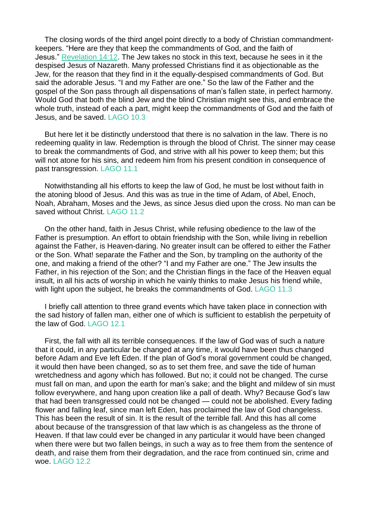The closing words of the third angel point directly to a body of Christian commandmentkeepers. "Here are they that keep the commandments of God, and the faith of Jesus." [Revelation](https://m.egwwritings.org/en/book/1965.63126#63126) 14:12. The Jew takes no stock in this text, because he sees in it the despised Jesus of Nazareth. Many professed Christians find it as objectionable as the Jew, for the reason that they find in it the equally-despised commandments of God. But said the adorable Jesus. "I and my Father are one." So the law of the Father and the gospel of the Son pass through all dispensations of man's fallen state, in perfect harmony. Would God that both the blind Jew and the blind Christian might see this, and embrace the whole truth, instead of each a part, might keep the commandments of God and the faith of Jesus, and be saved. LAGO 10.3

But here let it be distinctly understood that there is no salvation in the law. There is no redeeming quality in law. Redemption is through the blood of Christ. The sinner may cease to break the commandments of God, and strive with all his power to keep them; but this will not atone for his sins, and redeem him from his present condition in consequence of past transgression. LAGO 11.1

Notwithstanding all his efforts to keep the law of God, he must be lost without faith in the atoning blood of Jesus. And this was as true in the time of Adam, of Abel, Enoch, Noah, Abraham, Moses and the Jews, as since Jesus died upon the cross. No man can be saved without Christ. LAGO 11.2

On the other hand, faith in Jesus Christ, while refusing obedience to the law of the Father is presumption. An effort to obtain friendship with the Son, while living in rebellion against the Father, is Heaven-daring. No greater insult can be offered to either the Father or the Son. What! separate the Father and the Son, by trampling on the authority of the one, and making a friend of the other? "I and my Father are one." The Jew insults the Father, in his rejection of the Son; and the Christian flings in the face of the Heaven equal insult, in all his acts of worship in which he vainly thinks to make Jesus his friend while, with light upon the subject, he breaks the commandments of God. LAGO 11.3

I briefly call attention to three grand events which have taken place in connection with the sad history of fallen man, either one of which is sufficient to establish the perpetuity of the law of God. LAGO 12.1

First, the fall with all its terrible consequences. If the law of God was of such a nature that it could, in any particular be changed at any time, it would have been thus changed before Adam and Eve left Eden. If the plan of God's moral government could be changed, it would then have been changed, so as to set them free, and save the tide of human wretchedness and agony which has followed. But no; it could not be changed. The curse must fall on man, and upon the earth for man's sake; and the blight and mildew of sin must follow everywhere, and hang upon creation like a pall of death. Why? Because God's law that had been transgressed could not be changed — could not be abolished. Every fading flower and falling leaf, since man left Eden, has proclaimed the law of God changeless. This has been the result of sin. It is the result of the terrible fall. And this has all come about because of the transgression of that law which is as changeless as the throne of Heaven. If that law could ever be changed in any particular it would have been changed when there were but two fallen beings, in such a way as to free them from the sentence of death, and raise them from their degradation, and the race from continued sin, crime and woe. LAGO 12.2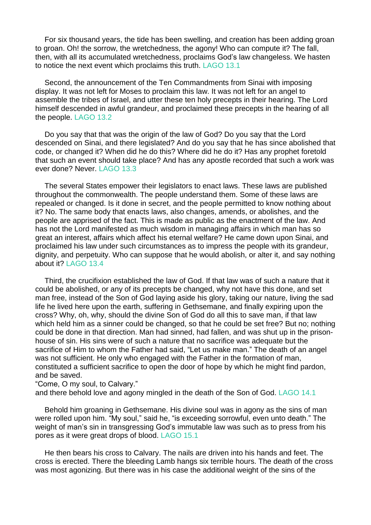For six thousand years, the tide has been swelling, and creation has been adding groan to groan. Oh! the sorrow, the wretchedness, the agony! Who can compute it? The fall, then, with all its accumulated wretchedness, proclaims God's law changeless. We hasten to notice the next event which proclaims this truth. LAGO 13.1

Second, the announcement of the Ten Commandments from Sinai with imposing display. It was not left for Moses to proclaim this law. It was not left for an angel to assemble the tribes of Israel, and utter these ten holy precepts in their hearing. The Lord himself descended in awful grandeur, and proclaimed these precepts in the hearing of all the people. LAGO 13.2

Do you say that that was the origin of the law of God? Do you say that the Lord descended on Sinai, and there legislated? And do you say that he has since abolished that code, or changed it? When did he do this? Where did he do it? Has any prophet foretold that such an event should take place? And has any apostle recorded that such a work was ever done? Never. LAGO 13.3

The several States empower their legislators to enact laws. These laws are published throughout the commonwealth. The people understand them. Some of these laws are repealed or changed. Is it done in secret, and the people permitted to know nothing about it? No. The same body that enacts laws, also changes, amends, or abolishes, and the people are apprised of the fact. This is made as public as the enactment of the law. And has not the Lord manifested as much wisdom in managing affairs in which man has so great an interest, affairs which affect his eternal welfare? He came down upon Sinai, and proclaimed his law under such circumstances as to impress the people with its grandeur, dignity, and perpetuity. Who can suppose that he would abolish, or alter it, and say nothing about it? LAGO 13.4

Third, the crucifixion established the law of God. If that law was of such a nature that it could be abolished, or any of its precepts be changed, why not have this done, and set man free, instead of the Son of God laying aside his glory, taking our nature, living the sad life he lived here upon the earth, suffering in Gethsemane, and finally expiring upon the cross? Why, oh, why, should the divine Son of God do all this to save man, if that law which held him as a sinner could be changed, so that he could be set free? But no; nothing could be done in that direction. Man had sinned, had fallen, and was shut up in the prisonhouse of sin. His sins were of such a nature that no sacrifice was adequate but the sacrifice of Him to whom the Father had said, "Let us make man." The death of an angel was not sufficient. He only who engaged with the Father in the formation of man, constituted a sufficient sacrifice to open the door of hope by which he might find pardon, and be saved.

"Come, O my soul, to Calvary."

and there behold love and agony mingled in the death of the Son of God. LAGO 14.1

Behold him groaning in Gethsemane. His divine soul was in agony as the sins of man were rolled upon him. "My soul," said he, "is exceeding sorrowful, even unto death." The weight of man's sin in transgressing God's immutable law was such as to press from his pores as it were great drops of blood. LAGO 15.1

He then bears his cross to Calvary. The nails are driven into his hands and feet. The cross is erected. There the bleeding Lamb hangs six terrible hours. The death of the cross was most agonizing. But there was in his case the additional weight of the sins of the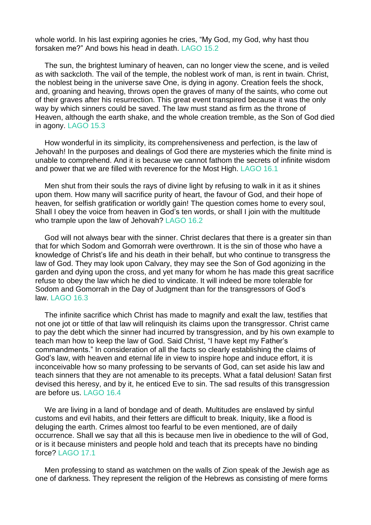whole world. In his last expiring agonies he cries, "My God, my God, why hast thou forsaken me?" And bows his head in death. LAGO 15.2

The sun, the brightest luminary of heaven, can no longer view the scene, and is veiled as with sackcloth. The vail of the temple, the noblest work of man, is rent in twain. Christ, the noblest being in the universe save One, is dying in agony. Creation feels the shock, and, groaning and heaving, throws open the graves of many of the saints, who come out of their graves after his resurrection. This great event transpired because it was the only way by which sinners could be saved. The law must stand as firm as the throne of Heaven, although the earth shake, and the whole creation tremble, as the Son of God died in agony. LAGO 15.3

How wonderful in its simplicity, its comprehensiveness and perfection, is the law of Jehovah! In the purposes and dealings of God there are mysteries which the finite mind is unable to comprehend. And it is because we cannot fathom the secrets of infinite wisdom and power that we are filled with reverence for the Most High. LAGO 16.1

Men shut from their souls the rays of divine light by refusing to walk in it as it shines upon them. How many will sacrifice purity of heart, the favour of God, and their hope of heaven, for selfish gratification or worldly gain! The question comes home to every soul, Shall I obey the voice from heaven in God's ten words, or shall I join with the multitude who trample upon the law of Jehovah? LAGO 16.2

God will not always bear with the sinner. Christ declares that there is a greater sin than that for which Sodom and Gomorrah were overthrown. It is the sin of those who have a knowledge of Christ's life and his death in their behalf, but who continue to transgress the law of God. They may look upon Calvary, they may see the Son of God agonizing in the garden and dying upon the cross, and yet many for whom he has made this great sacrifice refuse to obey the law which he died to vindicate. It will indeed be more tolerable for Sodom and Gomorrah in the Day of Judgment than for the transgressors of God's law. LAGO 16.3

The infinite sacrifice which Christ has made to magnify and exalt the law, testifies that not one jot or tittle of that law will relinquish its claims upon the transgressor. Christ came to pay the debt which the sinner had incurred by transgression, and by his own example to teach man how to keep the law of God. Said Christ, "I have kept my Father's commandments." In consideration of all the facts so clearly establishing the claims of God's law, with heaven and eternal life in view to inspire hope and induce effort, it is inconceivable how so many professing to be servants of God, can set aside his law and teach sinners that they are not amenable to its precepts. What a fatal delusion! Satan first devised this heresy, and by it, he enticed Eve to sin. The sad results of this transgression are before us. LAGO 16.4

We are living in a land of bondage and of death. Multitudes are enslaved by sinful customs and evil habits, and their fetters are difficult to break. Iniquity, like a flood is deluging the earth. Crimes almost too fearful to be even mentioned, are of daily occurrence. Shall we say that all this is because men live in obedience to the will of God, or is it because ministers and people hold and teach that its precepts have no binding force? LAGO 17.1

Men professing to stand as watchmen on the walls of Zion speak of the Jewish age as one of darkness. They represent the religion of the Hebrews as consisting of mere forms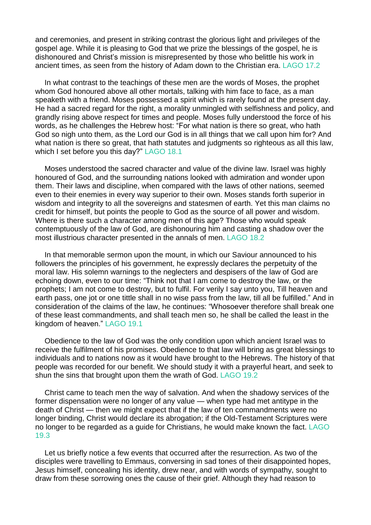and ceremonies, and present in striking contrast the glorious light and privileges of the gospel age. While it is pleasing to God that we prize the blessings of the gospel, he is dishonoured and Christ's mission is misrepresented by those who belittle his work in ancient times, as seen from the history of Adam down to the Christian era. LAGO 17.2

In what contrast to the teachings of these men are the words of Moses, the prophet whom God honoured above all other mortals, talking with him face to face, as a man speaketh with a friend. Moses possessed a spirit which is rarely found at the present day. He had a sacred regard for the right, a morality unmingled with selfishness and policy, and grandly rising above respect for times and people. Moses fully understood the force of his words, as he challenges the Hebrew host: "For what nation is there so great, who hath God so nigh unto them, as the Lord our God is in all things that we call upon him for? And what nation is there so great, that hath statutes and judgments so righteous as all this law, which I set before you this day?" LAGO 18.1

Moses understood the sacred character and value of the divine law. Israel was highly honoured of God, and the surrounding nations looked with admiration and wonder upon them. Their laws and discipline, when compared with the laws of other nations, seemed even to their enemies in every way superior to their own. Moses stands forth superior in wisdom and integrity to all the sovereigns and statesmen of earth. Yet this man claims no credit for himself, but points the people to God as the source of all power and wisdom. Where is there such a character among men of this age? Those who would speak contemptuously of the law of God, are dishonouring him and casting a shadow over the most illustrious character presented in the annals of men. LAGO 18.2

In that memorable sermon upon the mount, in which our Saviour announced to his followers the principles of his government, he expressly declares the perpetuity of the moral law. His solemn warnings to the neglecters and despisers of the law of God are echoing down, even to our time: "Think not that I am come to destroy the law, or the prophets; I am not come to destroy, but to fulfil. For verily I say unto you, Till heaven and earth pass, one jot or one tittle shall in no wise pass from the law, till all be fulfilled." And in consideration of the claims of the law, he continues: "Whosoever therefore shall break one of these least commandments, and shall teach men so, he shall be called the least in the kingdom of heaven." LAGO 19.1

Obedience to the law of God was the only condition upon which ancient Israel was to receive the fulfilment of his promises. Obedience to that law will bring as great blessings to individuals and to nations now as it would have brought to the Hebrews. The history of that people was recorded for our benefit. We should study it with a prayerful heart, and seek to shun the sins that brought upon them the wrath of God. LAGO 19.2

Christ came to teach men the way of salvation. And when the shadowy services of the former dispensation were no longer of any value — when type had met antitype in the death of Christ — then we might expect that if the law of ten commandments were no longer binding, Christ would declare its abrogation; if the Old-Testament Scriptures were no longer to be regarded as a guide for Christians, he would make known the fact. LAGO 19.3

Let us briefly notice a few events that occurred after the resurrection. As two of the disciples were travelling to Emmaus, conversing in sad tones of their disappointed hopes, Jesus himself, concealing his identity, drew near, and with words of sympathy, sought to draw from these sorrowing ones the cause of their grief. Although they had reason to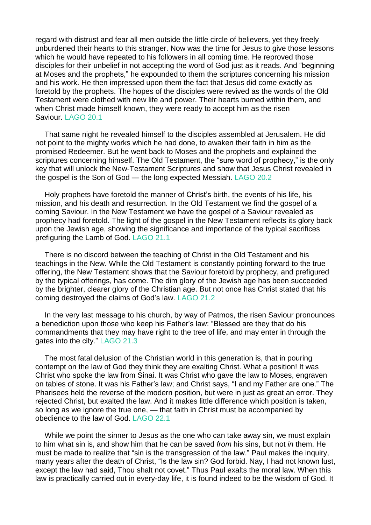regard with distrust and fear all men outside the little circle of believers, yet they freely unburdened their hearts to this stranger. Now was the time for Jesus to give those lessons which he would have repeated to his followers in all coming time. He reproved those disciples for their unbelief in not accepting the word of God just as it reads. And "beginning at Moses and the prophets," he expounded to them the scriptures concerning his mission and his work. He then impressed upon them the fact that Jesus did come exactly as foretold by the prophets. The hopes of the disciples were revived as the words of the Old Testament were clothed with new life and power. Their hearts burned within them, and when Christ made himself known, they were ready to accept him as the risen Saviour. LAGO 20.1

That same night he revealed himself to the disciples assembled at Jerusalem. He did not point to the mighty works which he had done, to awaken their faith in him as the promised Redeemer. But he went back to Moses and the prophets and explained the scriptures concerning himself. The Old Testament, the "sure word of prophecy," is the only key that will unlock the New-Testament Scriptures and show that Jesus Christ revealed in the gospel is the Son of God — the long expected Messiah. LAGO 20.2

Holy prophets have foretold the manner of Christ's birth, the events of his life, his mission, and his death and resurrection. In the Old Testament we find the gospel of a coming Saviour. In the New Testament we have the gospel of a Saviour revealed as prophecy had foretold. The light of the gospel in the New Testament reflects its glory back upon the Jewish age, showing the significance and importance of the typical sacrifices prefiguring the Lamb of God. LAGO 21.1

There is no discord between the teaching of Christ in the Old Testament and his teachings in the New. While the Old Testament is constantly pointing forward to the true offering, the New Testament shows that the Saviour foretold by prophecy, and prefigured by the typical offerings, has come. The dim glory of the Jewish age has been succeeded by the brighter, clearer glory of the Christian age. But not once has Christ stated that his coming destroyed the claims of God's law. LAGO 21.2

In the very last message to his church, by way of Patmos, the risen Saviour pronounces a benediction upon those who keep his Father's law: "Blessed are they that do his commandments that they may have right to the tree of life, and may enter in through the gates into the city." LAGO 21.3

The most fatal delusion of the Christian world in this generation is, that in pouring contempt on the law of God they think they are exalting Christ. What a position! It was Christ who spoke the law from Sinai. It was Christ who gave the law to Moses, engraven on tables of stone. It was his Father's law; and Christ says, "I and my Father are one." The Pharisees held the reverse of the modern position, but were in just as great an error. They rejected Christ, but exalted the law. And it makes little difference which position is taken, so long as we ignore the true one, — that faith in Christ must be accompanied by obedience to the law of God. LAGO 22.1

While we point the sinner to Jesus as the one who can take away sin, we must explain to him what sin is, and show him that he can be saved *from* his sins, but not *in* them. He must be made to realize that "sin is the transgression of the law." Paul makes the inquiry, many years after the death of Christ, "Is the law sin? God forbid. Nay, I had not known lust, except the law had said, Thou shalt not covet." Thus Paul exalts the moral law. When this law is practically carried out in every-day life, it is found indeed to be the wisdom of God. It